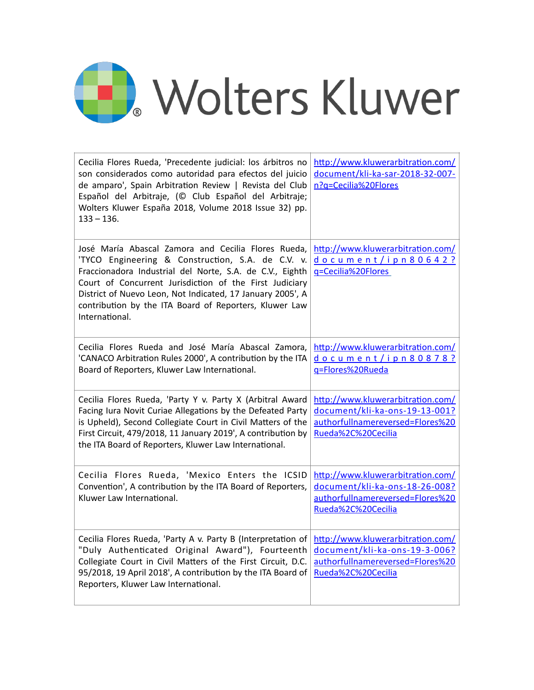## Wolters Kluwer

| Cecilia Flores Rueda, 'Precedente judicial: los árbitros no<br>son considerados como autoridad para efectos del juicio<br>de amparo', Spain Arbitration Review   Revista del Club<br>Español del Arbitraje, (© Club Español del Arbitraje;<br>Wolters Kluwer España 2018, Volume 2018 Issue 32) pp.<br>$133 - 136.$                                                       | http://www.kluwerarbitration.com/<br>document/kli-ka-sar-2018-32-007-<br>n?q=Cecilia%20Flores                                 |
|---------------------------------------------------------------------------------------------------------------------------------------------------------------------------------------------------------------------------------------------------------------------------------------------------------------------------------------------------------------------------|-------------------------------------------------------------------------------------------------------------------------------|
| José María Abascal Zamora and Cecilia Flores Rueda,<br>'TYCO Engineering & Construction, S.A. de C.V. v.<br>Fraccionadora Industrial del Norte, S.A. de C.V., Eighth<br>Court of Concurrent Jurisdiction of the First Judiciary<br>District of Nuevo Leon, Not Indicated, 17 January 2005', A<br>contribution by the ITA Board of Reporters, Kluwer Law<br>International. | http://www.kluwerarbitration.com/<br>document/ipn80642?<br>g=Cecilia%20Flores                                                 |
| Cecilia Flores Rueda and José María Abascal Zamora,<br>'CANACO Arbitration Rules 2000', A contribution by the ITA<br>Board of Reporters, Kluwer Law International.                                                                                                                                                                                                        | http://www.kluwerarbitration.com/<br>document/ipn80878?<br>g=Flores%20Rueda                                                   |
| Cecilia Flores Rueda, 'Party Y v. Party X (Arbitral Award<br>Facing Iura Novit Curiae Allegations by the Defeated Party<br>is Upheld), Second Collegiate Court in Civil Matters of the<br>First Circuit, 479/2018, 11 January 2019', A contribution by<br>the ITA Board of Reporters, Kluwer Law International.                                                           | http://www.kluwerarbitration.com/<br>document/kli-ka-ons-19-13-001?<br>authorfullnamereversed=Flores%20<br>Rueda%2C%20Cecilia |
| Cecilia Flores Rueda, 'Mexico Enters the ICSID<br>Convention', A contribution by the ITA Board of Reporters,<br>Kluwer Law International.                                                                                                                                                                                                                                 | http://www.kluwerarbitration.com/<br>document/kli-ka-ons-18-26-008?<br>authorfullnamereversed=Flores%20<br>Rueda%2C%20Cecilia |
| Cecilia Flores Rueda, 'Party A v. Party B (Interpretation of<br>"Duly Authenticated Original Award"), Fourteenth<br>Collegiate Court in Civil Matters of the First Circuit, D.C.<br>95/2018, 19 April 2018', A contribution by the ITA Board of<br>Reporters, Kluwer Law International.                                                                                   | http://www.kluwerarbitration.com/<br>document/kli-ka-ons-19-3-006?<br>authorfullnamereversed=Flores%20<br>Rueda%2C%20Cecilia  |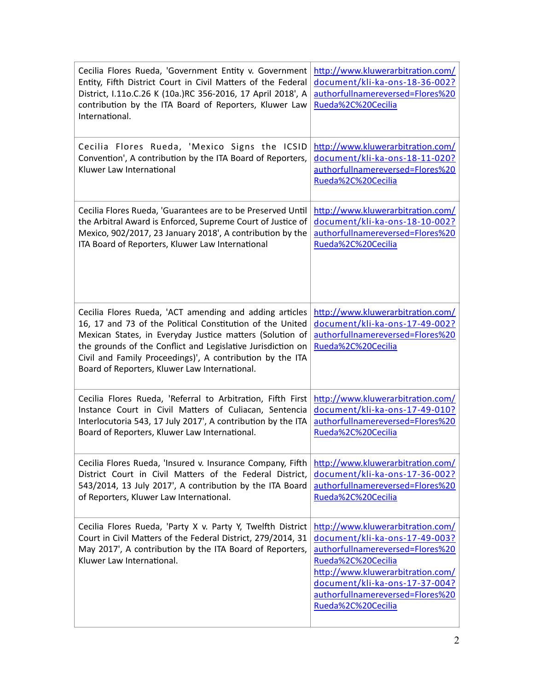| Cecilia Flores Rueda, 'Government Entity v. Government<br>Entity, Fifth District Court in Civil Matters of the Federal<br>District, I.11o.C.26 K (10a.)RC 356-2016, 17 April 2018', A<br>contribution by the ITA Board of Reporters, Kluwer Law<br>International.                                                                                             | http://www.kluwerarbitration.com/<br>document/kli-ka-ons-18-36-002?<br>authorfullnamereversed=Flores%20<br>Rueda%2C%20Cecilia                                                                                                                                  |
|---------------------------------------------------------------------------------------------------------------------------------------------------------------------------------------------------------------------------------------------------------------------------------------------------------------------------------------------------------------|----------------------------------------------------------------------------------------------------------------------------------------------------------------------------------------------------------------------------------------------------------------|
| Cecilia Flores Rueda, 'Mexico Signs the ICSID<br>Convention', A contribution by the ITA Board of Reporters,<br>Kluwer Law International                                                                                                                                                                                                                       | http://www.kluwerarbitration.com/<br>document/kli-ka-ons-18-11-020?<br>authorfullnamereversed=Flores%20<br>Rueda%2C%20Cecilia                                                                                                                                  |
| Cecilia Flores Rueda, 'Guarantees are to be Preserved Until<br>the Arbitral Award is Enforced, Supreme Court of Justice of<br>Mexico, 902/2017, 23 January 2018', A contribution by the<br>ITA Board of Reporters, Kluwer Law International                                                                                                                   | http://www.kluwerarbitration.com/<br>document/kli-ka-ons-18-10-002?<br>authorfullnamereversed=Flores%20<br>Rueda%2C%20Cecilia                                                                                                                                  |
| Cecilia Flores Rueda, 'ACT amending and adding articles<br>16, 17 and 73 of the Political Constitution of the United<br>Mexican States, in Everyday Justice matters (Solution of<br>the grounds of the Conflict and Legislative Jurisdiction on<br>Civil and Family Proceedings)', A contribution by the ITA<br>Board of Reporters, Kluwer Law International. | http://www.kluwerarbitration.com/<br>document/kli-ka-ons-17-49-002?<br>authorfullnamereversed=Flores%20<br>Rueda%2C%20Cecilia                                                                                                                                  |
| Cecilia Flores Rueda, 'Referral to Arbitration, Fifth First<br>Instance Court in Civil Matters of Culiacan, Sentencia<br>Interlocutoria 543, 17 July 2017', A contribution by the ITA<br>Board of Reporters, Kluwer Law International.                                                                                                                        | http://www.kluwerarbitration.com/<br>document/kli-ka-ons-17-49-010?<br>authorfullnamereversed=Flores%20<br>Rueda%2C%20Cecilia                                                                                                                                  |
| Cecilia Flores Rueda, 'Insured v. Insurance Company, Fifth<br>District Court in Civil Matters of the Federal District,<br>543/2014, 13 July 2017', A contribution by the ITA Board<br>of Reporters, Kluwer Law International.                                                                                                                                 | http://www.kluwerarbitration.com/<br>document/kli-ka-ons-17-36-002?<br>authorfullnamereversed=Flores%20<br>Rueda%2C%20Cecilia                                                                                                                                  |
| Cecilia Flores Rueda, 'Party X v. Party Y, Twelfth District<br>Court in Civil Matters of the Federal District, 279/2014, 31<br>May 2017', A contribution by the ITA Board of Reporters,<br>Kluwer Law International.                                                                                                                                          | http://www.kluwerarbitration.com/<br>document/kli-ka-ons-17-49-003?<br>authorfullnamereversed=Flores%20<br>Rueda%2C%20Cecilia<br>http://www.kluwerarbitration.com/<br>document/kli-ka-ons-17-37-004?<br>authorfullnamereversed=Flores%20<br>Rueda%2C%20Cecilia |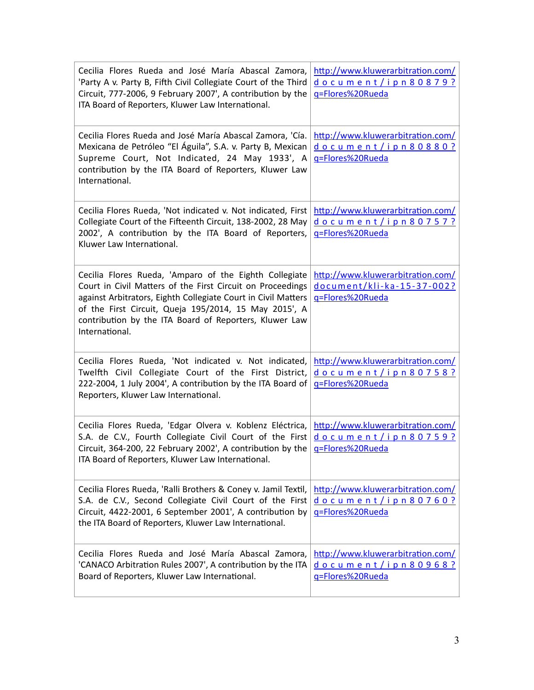| Cecilia Flores Rueda and José María Abascal Zamora,<br>'Party A v. Party B, Fifth Civil Collegiate Court of the Third<br>Circuit, 777-2006, 9 February 2007', A contribution by the<br>ITA Board of Reporters, Kluwer Law International.                                                                                   | http://www.kluwerarbitration.com/<br>document/ipn80879?<br>q=Flores%20Rueda         |
|----------------------------------------------------------------------------------------------------------------------------------------------------------------------------------------------------------------------------------------------------------------------------------------------------------------------------|-------------------------------------------------------------------------------------|
| Cecilia Flores Rueda and José María Abascal Zamora, 'Cía.<br>Mexicana de Petróleo "El Águila", S.A. v. Party B, Mexican<br>Supreme Court, Not Indicated, 24 May 1933', A<br>contribution by the ITA Board of Reporters, Kluwer Law<br>International.                                                                       | http://www.kluwerarbitration.com/<br>document/ipn80880?<br>g=Flores%20Rueda         |
| Cecilia Flores Rueda, 'Not indicated v. Not indicated, First<br>Collegiate Court of the Fifteenth Circuit, 138-2002, 28 May<br>2002', A contribution by the ITA Board of Reporters,<br>Kluwer Law International.                                                                                                           | http://www.kluwerarbitration.com/<br>document/ipn80757?<br>q=Flores%20Rueda         |
| Cecilia Flores Rueda, 'Amparo of the Eighth Collegiate<br>Court in Civil Matters of the First Circuit on Proceedings<br>against Arbitrators, Eighth Collegiate Court in Civil Matters<br>of the First Circuit, Queja 195/2014, 15 May 2015', A<br>contribution by the ITA Board of Reporters, Kluwer Law<br>International. | http://www.kluwerarbitration.com/<br>document/kli-ka-15-37-002?<br>g=Flores%20Rueda |
| Cecilia Flores Rueda, 'Not indicated v. Not indicated,<br>Twelfth Civil Collegiate Court of the First District,<br>222-2004, 1 July 2004', A contribution by the ITA Board of<br>Reporters, Kluwer Law International.                                                                                                      | http://www.kluwerarbitration.com/<br>document/ipn80758?<br>g=Flores%20Rueda         |
| Cecilia Flores Rueda, 'Edgar Olvera v. Koblenz Eléctrica,<br>S.A. de C.V., Fourth Collegiate Civil Court of the First<br>Circuit, 364-200, 22 February 2002', A contribution by the<br>ITA Board of Reporters, Kluwer Law International.                                                                                   | http://www.kluwerarbitration.com/<br>document/ipn80759?<br>g=Flores%20Rueda         |
| Cecilia Flores Rueda, 'Ralli Brothers & Coney v. Jamil Textil,<br>S.A. de C.V., Second Collegiate Civil Court of the First<br>Circuit, 4422-2001, 6 September 2001', A contribution by<br>the ITA Board of Reporters, Kluwer Law International.                                                                            | http://www.kluwerarbitration.com/<br>document/ipn80760?<br>g=Flores%20Rueda         |
| Cecilia Flores Rueda and José María Abascal Zamora,<br>'CANACO Arbitration Rules 2007', A contribution by the ITA<br>Board of Reporters, Kluwer Law International.                                                                                                                                                         | http://www.kluwerarbitration.com/<br>document/ipn80968?<br>g=Flores%20Rueda         |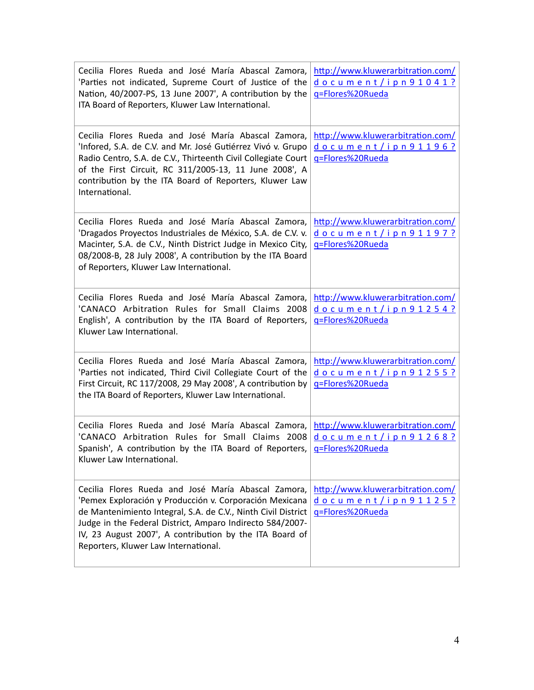| Cecilia Flores Rueda and José María Abascal Zamora,<br>'Parties not indicated, Supreme Court of Justice of the<br>Nation, 40/2007-PS, 13 June 2007', A contribution by the<br>ITA Board of Reporters, Kluwer Law International.                                                                                                                 | http://www.kluwerarbitration.com/<br>document/ipn91041?<br>g=Flores%20Rueda |
|-------------------------------------------------------------------------------------------------------------------------------------------------------------------------------------------------------------------------------------------------------------------------------------------------------------------------------------------------|-----------------------------------------------------------------------------|
| Cecilia Flores Rueda and José María Abascal Zamora,<br>'Infored, S.A. de C.V. and Mr. José Gutiérrez Vivó v. Grupo<br>Radio Centro, S.A. de C.V., Thirteenth Civil Collegiate Court<br>of the First Circuit, RC 311/2005-13, 11 June 2008', A<br>contribution by the ITA Board of Reporters, Kluwer Law<br>International.                       | http://www.kluwerarbitration.com/<br>document/ipn91196?<br>g=Flores%20Rueda |
| Cecilia Flores Rueda and José María Abascal Zamora,<br>'Dragados Proyectos Industriales de México, S.A. de C.V. v.<br>Macinter, S.A. de C.V., Ninth District Judge in Mexico City,<br>08/2008-B, 28 July 2008', A contribution by the ITA Board<br>of Reporters, Kluwer Law International.                                                      | http://www.kluwerarbitration.com/<br>document/ipn91197?<br>q=Flores%20Rueda |
| Cecilia Flores Rueda and José María Abascal Zamora,<br>'CANACO Arbitration Rules for Small Claims 2008<br>English', A contribution by the ITA Board of Reporters,<br>Kluwer Law International.                                                                                                                                                  | http://www.kluwerarbitration.com/<br>document/ipn91254?<br>g=Flores%20Rueda |
| Cecilia Flores Rueda and José María Abascal Zamora,<br>'Parties not indicated, Third Civil Collegiate Court of the<br>First Circuit, RC 117/2008, 29 May 2008', A contribution by<br>the ITA Board of Reporters, Kluwer Law International.                                                                                                      | http://www.kluwerarbitration.com/<br>document/ipn91255?<br>g=Flores%20Rueda |
| Cecilia Flores Rueda and José María Abascal Zamora,<br>'CANACO Arbitration Rules for Small Claims 2008<br>Spanish', A contribution by the ITA Board of Reporters,<br>Kluwer Law International.                                                                                                                                                  | http://www.kluwerarbitration.com/<br>document/ipn91268?<br>q=Flores%20Rueda |
| Cecilia Flores Rueda and José María Abascal Zamora,<br>'Pemex Exploración y Producción v. Corporación Mexicana<br>de Mantenimiento Integral, S.A. de C.V., Ninth Civil District<br>Judge in the Federal District, Amparo Indirecto 584/2007-<br>IV, 23 August 2007', A contribution by the ITA Board of<br>Reporters, Kluwer Law International. | http://www.kluwerarbitration.com/<br>document/ipn91125?<br>g=Flores%20Rueda |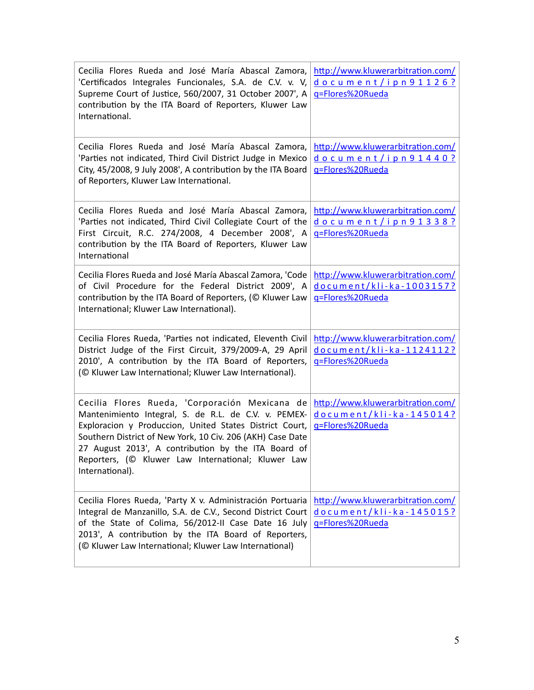| Cecilia Flores Rueda and José María Abascal Zamora,<br>'Certificados Integrales Funcionales, S.A. de C.V. v. V,<br>Supreme Court of Justice, 560/2007, 31 October 2007', A<br>contribution by the ITA Board of Reporters, Kluwer Law<br>International.                                                                                                          | http://www.kluwerarbitration.com/<br>document/ipn91126?<br>g=Flores%20Rueda       |
|-----------------------------------------------------------------------------------------------------------------------------------------------------------------------------------------------------------------------------------------------------------------------------------------------------------------------------------------------------------------|-----------------------------------------------------------------------------------|
| Cecilia Flores Rueda and José María Abascal Zamora,<br>'Parties not indicated, Third Civil District Judge in Mexico<br>City, 45/2008, 9 July 2008', A contribution by the ITA Board<br>of Reporters, Kluwer Law International.                                                                                                                                  | http://www.kluwerarbitration.com/<br>document/ipn91440?<br>g=Flores%20Rueda       |
| Cecilia Flores Rueda and José María Abascal Zamora,<br>'Parties not indicated, Third Civil Collegiate Court of the<br>First Circuit, R.C. 274/2008, 4 December 2008', A<br>contribution by the ITA Board of Reporters, Kluwer Law<br>International                                                                                                              | http://www.kluwerarbitration.com/<br>document/ipn91338?<br>q=Flores%20Rueda       |
| Cecilia Flores Rueda and José María Abascal Zamora, 'Code<br>of Civil Procedure for the Federal District 2009', A<br>contribution by the ITA Board of Reporters, (© Kluwer Law<br>International; Kluwer Law International).                                                                                                                                     | http://www.kluwerarbitration.com/<br>document/kli-ka-1003157?<br>g=Flores%20Rueda |
| Cecilia Flores Rueda, 'Parties not indicated, Eleventh Civil<br>District Judge of the First Circuit, 379/2009-A, 29 April<br>2010', A contribution by the ITA Board of Reporters,<br>(© Kluwer Law International; Kluwer Law International).                                                                                                                    | http://www.kluwerarbitration.com/<br>document/kli-ka-1124112?<br>g=Flores%20Rueda |
| Cecilia Flores Rueda, 'Corporación Mexicana de<br>Mantenimiento Integral, S. de R.L. de C.V. v. PEMEX-<br>Exploracion y Produccion, United States District Court,<br>Southern District of New York, 10 Civ. 206 (AKH) Case Date<br>27 August 2013', A contribution by the ITA Board of<br>Reporters, (© Kluwer Law International; Kluwer Law<br>International). | http://www.kluwerarbitration.com/<br>document/kli-ka-145014?<br>q=Flores%20Rueda  |
| Cecilia Flores Rueda, 'Party X v. Administración Portuaria<br>Integral de Manzanillo, S.A. de C.V., Second District Court<br>of the State of Colima, 56/2012-II Case Date 16 July<br>2013', A contribution by the ITA Board of Reporters,<br>(© Kluwer Law International; Kluwer Law International)                                                             | http://www.kluwerarbitration.com/<br>document/kli-ka-145015?<br>q=Flores%20Rueda  |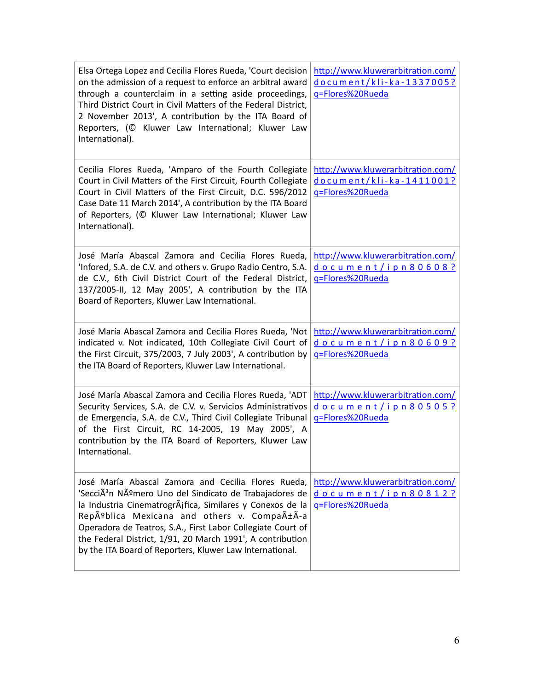| Elsa Ortega Lopez and Cecilia Flores Rueda, 'Court decision<br>on the admission of a request to enforce an arbitral award<br>through a counterclaim in a setting aside proceedings,<br>Third District Court in Civil Matters of the Federal District,<br>2 November 2013', A contribution by the ITA Board of<br>Reporters, (© Kluwer Law International; Kluwer Law<br>International).                                       | http://www.kluwerarbitration.com/<br>document/kli-ka-1337005?<br>g=Flores%20Rueda |
|------------------------------------------------------------------------------------------------------------------------------------------------------------------------------------------------------------------------------------------------------------------------------------------------------------------------------------------------------------------------------------------------------------------------------|-----------------------------------------------------------------------------------|
| Cecilia Flores Rueda, 'Amparo of the Fourth Collegiate<br>Court in Civil Matters of the First Circuit, Fourth Collegiate<br>Court in Civil Matters of the First Circuit, D.C. 596/2012<br>Case Date 11 March 2014', A contribution by the ITA Board<br>of Reporters, (© Kluwer Law International; Kluwer Law<br>International).                                                                                              | http://www.kluwerarbitration.com/<br>document/kli-ka-1411001?<br>g=Flores%20Rueda |
| José María Abascal Zamora and Cecilia Flores Rueda,<br>'Infored, S.A. de C.V. and others v. Grupo Radio Centro, S.A.<br>de C.V., 6th Civil District Court of the Federal District,<br>137/2005-II, 12 May 2005', A contribution by the ITA<br>Board of Reporters, Kluwer Law International.                                                                                                                                  | http://www.kluwerarbitration.com/<br>document/ipn80608?<br>g=Flores%20Rueda       |
| José María Abascal Zamora and Cecilia Flores Rueda, 'Not<br>indicated v. Not indicated, 10th Collegiate Civil Court of<br>the First Circuit, 375/2003, 7 July 2003', A contribution by<br>the ITA Board of Reporters, Kluwer Law International.                                                                                                                                                                              | http://www.kluwerarbitration.com/<br>document/ipn80609?<br>g=Flores%20Rueda       |
| José María Abascal Zamora and Cecilia Flores Rueda, 'ADT<br>Security Services, S.A. de C.V. v. Servicios Administrativos<br>de Emergencia, S.A. de C.V., Third Civil Collegiate Tribunal<br>of the First Circuit, RC 14-2005, 19 May 2005', A<br>contribution by the ITA Board of Reporters, Kluwer Law<br>International.                                                                                                    | http://www.kluwerarbitration.com/<br>document/ipn80505?<br>q=Flores%20Rueda       |
| José María Abascal Zamora and Cecilia Flores Rueda,<br>'SecciÃ <sup>3</sup> n Número Uno del Sindicato de Trabajadores de<br>la Industria Cinematrográfica, Similares y Conexos de la<br>República Mexicana and others v. CompañÃ-a<br>Operadora de Teatros, S.A., First Labor Collegiate Court of<br>the Federal District, 1/91, 20 March 1991', A contribution<br>by the ITA Board of Reporters, Kluwer Law International. | http://www.kluwerarbitration.com/<br>document/ipn80812?<br>g=Flores%20Rueda       |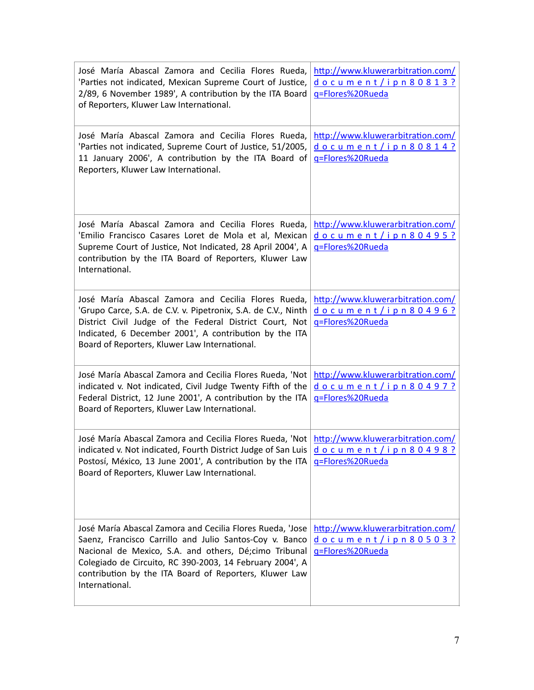| José María Abascal Zamora and Cecilia Flores Rueda,<br>'Parties not indicated, Mexican Supreme Court of Justice,<br>2/89, 6 November 1989', A contribution by the ITA Board<br>of Reporters, Kluwer Law International.                                                                                                    | http://www.kluwerarbitration.com/<br>document/ipn80813?<br>g=Flores%20Rueda |
|---------------------------------------------------------------------------------------------------------------------------------------------------------------------------------------------------------------------------------------------------------------------------------------------------------------------------|-----------------------------------------------------------------------------|
| José María Abascal Zamora and Cecilia Flores Rueda,<br>'Parties not indicated, Supreme Court of Justice, 51/2005,<br>11 January 2006', A contribution by the ITA Board of<br>Reporters, Kluwer Law International.                                                                                                         | http://www.kluwerarbitration.com/<br>document/ipn80814?<br>g=Flores%20Rueda |
| José María Abascal Zamora and Cecilia Flores Rueda,<br>'Emilio Francisco Casares Loret de Mola et al, Mexican<br>Supreme Court of Justice, Not Indicated, 28 April 2004', A<br>contribution by the ITA Board of Reporters, Kluwer Law<br>International.                                                                   | http://www.kluwerarbitration.com/<br>document/ipn80495?<br>g=Flores%20Rueda |
| José María Abascal Zamora and Cecilia Flores Rueda,<br>'Grupo Carce, S.A. de C.V. v. Pipetronix, S.A. de C.V., Ninth<br>District Civil Judge of the Federal District Court, Not<br>Indicated, 6 December 2001', A contribution by the ITA<br>Board of Reporters, Kluwer Law International.                                | http://www.kluwerarbitration.com/<br>document/ipn80496?<br>g=Flores%20Rueda |
| José María Abascal Zamora and Cecilia Flores Rueda, 'Not<br>indicated v. Not indicated, Civil Judge Twenty Fifth of the<br>Federal District, 12 June 2001', A contribution by the ITA<br>Board of Reporters, Kluwer Law International.                                                                                    | http://www.kluwerarbitration.com/<br>document/ipn80497?<br>g=Flores%20Rueda |
| José María Abascal Zamora and Cecilia Flores Rueda, 'Not http://www.kluwerarbitration.com/<br>indicated v. Not indicated, Fourth District Judge of San Luis $\frac{d}{d}$ o c u m e n t / i p n 8 0 4 9 8 ?<br>Postosí, México, 13 June 2001', A contribution by the ITA<br>Board of Reporters, Kluwer Law International. | q=Flores%20Rueda                                                            |
| José María Abascal Zamora and Cecilia Flores Rueda, 'Jose<br>Saenz, Francisco Carrillo and Julio Santos-Coy v. Banco<br>Nacional de Mexico, S.A. and others, Dé;cimo Tribunal<br>Colegiado de Circuito, RC 390-2003, 14 February 2004', A<br>contribution by the ITA Board of Reporters, Kluwer Law<br>International.     | http://www.kluwerarbitration.com/<br>document/ipn80503?<br>g=Flores%20Rueda |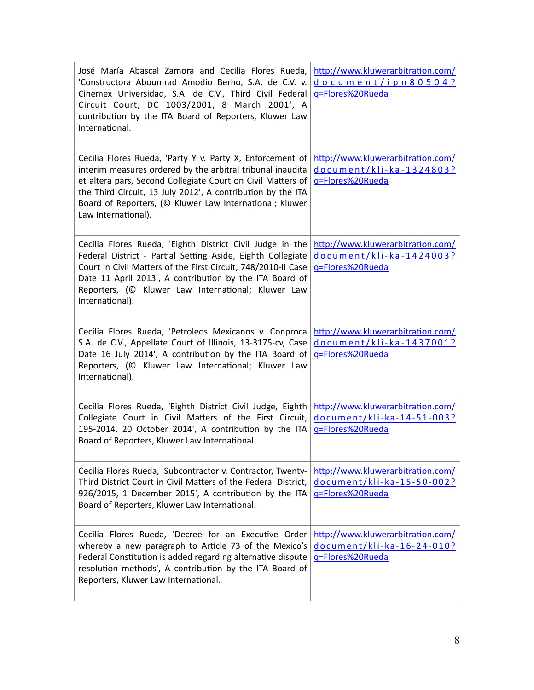| José María Abascal Zamora and Cecilia Flores Rueda,<br>'Constructora Aboumrad Amodio Berho, S.A. de C.V. v.<br>Cinemex Universidad, S.A. de C.V., Third Civil Federal<br>Circuit Court, DC 1003/2001, 8 March 2001', A<br>contribution by the ITA Board of Reporters, Kluwer Law<br>International.                                      | http://www.kluwerarbitration.com/<br>document/ipn80504?<br>g=Flores%20Rueda              |
|-----------------------------------------------------------------------------------------------------------------------------------------------------------------------------------------------------------------------------------------------------------------------------------------------------------------------------------------|------------------------------------------------------------------------------------------|
| Cecilia Flores Rueda, 'Party Y v. Party X, Enforcement of<br>interim measures ordered by the arbitral tribunal inaudita<br>et altera pars, Second Collegiate Court on Civil Matters of<br>the Third Circuit, 13 July 2012', A contribution by the ITA<br>Board of Reporters, (© Kluwer Law International; Kluwer<br>Law International). | http://www.kluwerarbitration.com/<br>document/kli-ka-1324803?<br>g=Flores%20Rueda        |
| Cecilia Flores Rueda, 'Eighth District Civil Judge in the<br>Federal District - Partial Setting Aside, Eighth Collegiate<br>Court in Civil Matters of the First Circuit, 748/2010-II Case<br>Date 11 April 2013', A contribution by the ITA Board of<br>Reporters, (C Kluwer Law International; Kluwer Law<br>International).           | http://www.kluwerarbitration.com/<br><u>document/kli-ka-1424003?</u><br>g=Flores%20Rueda |
| Cecilia Flores Rueda, 'Petroleos Mexicanos v. Conproca<br>S.A. de C.V., Appellate Court of Illinois, 13-3175-cv, Case<br>Date 16 July 2014', A contribution by the ITA Board of<br>Reporters, (C Kluwer Law International; Kluwer Law<br>International).                                                                                | http://www.kluwerarbitration.com/<br>document/kli-ka-1437001?<br>g=Flores%20Rueda        |
| Cecilia Flores Rueda, 'Eighth District Civil Judge, Eighth<br>Collegiate Court in Civil Matters of the First Circuit,<br>195-2014, 20 October 2014', A contribution by the ITA<br>Board of Reporters, Kluwer Law International.                                                                                                         | http://www.kluwerarbitration.com/<br>document/kli-ka-14-51-003?<br>q=Flores%20Rueda      |
| Cecilia Flores Rueda, 'Subcontractor v. Contractor, Twenty-<br>Third District Court in Civil Matters of the Federal District,<br>926/2015, 1 December 2015', A contribution by the ITA<br>Board of Reporters, Kluwer Law International.                                                                                                 | http://www.kluwerarbitration.com/<br>document/kli-ka-15-50-002?<br>g=Flores%20Rueda      |
| Cecilia Flores Rueda, 'Decree for an Executive Order<br>whereby a new paragraph to Article 73 of the Mexico's<br>Federal Constitution is added regarding alternative dispute<br>resolution methods', A contribution by the ITA Board of<br>Reporters, Kluwer Law International.                                                         | http://www.kluwerarbitration.com/<br>document/kli-ka-16-24-010?<br>q=Flores%20Rueda      |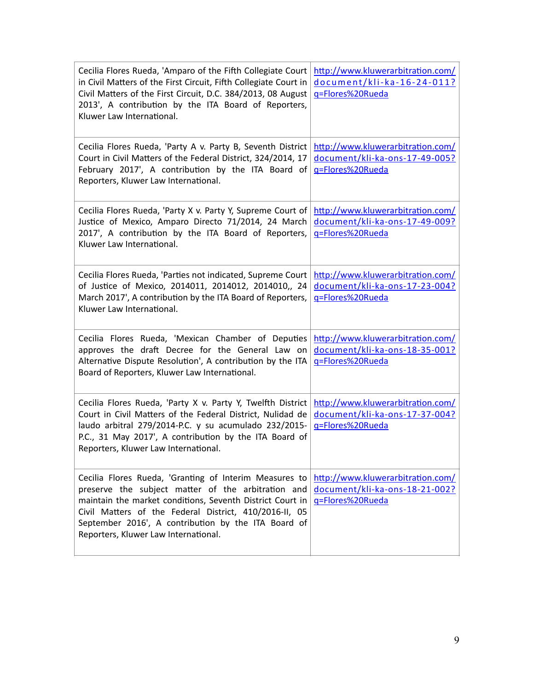| Cecilia Flores Rueda, 'Amparo of the Fifth Collegiate Court<br>in Civil Matters of the First Circuit, Fifth Collegiate Court in<br>Civil Matters of the First Circuit, D.C. 384/2013, 08 August<br>2013', A contribution by the ITA Board of Reporters,<br>Kluwer Law International.                                               | http://www.kluwerarbitration.com/<br>document/kli-ka-16-24-011?<br>q=Flores%20Rueda     |
|------------------------------------------------------------------------------------------------------------------------------------------------------------------------------------------------------------------------------------------------------------------------------------------------------------------------------------|-----------------------------------------------------------------------------------------|
| Cecilia Flores Rueda, 'Party A v. Party B, Seventh District<br>Court in Civil Matters of the Federal District, 324/2014, 17<br>February 2017', A contribution by the ITA Board of<br>Reporters, Kluwer Law International.                                                                                                          | http://www.kluwerarbitration.com/<br>document/kli-ka-ons-17-49-005?<br>g=Flores%20Rueda |
| Cecilia Flores Rueda, 'Party X v. Party Y, Supreme Court of<br>Justice of Mexico, Amparo Directo 71/2014, 24 March<br>2017', A contribution by the ITA Board of Reporters,<br>Kluwer Law International.                                                                                                                            | http://www.kluwerarbitration.com/<br>document/kli-ka-ons-17-49-009?<br>g=Flores%20Rueda |
| Cecilia Flores Rueda, 'Parties not indicated, Supreme Court<br>of Justice of Mexico, 2014011, 2014012, 2014010,, 24<br>March 2017', A contribution by the ITA Board of Reporters,<br>Kluwer Law International.                                                                                                                     | http://www.kluwerarbitration.com/<br>document/kli-ka-ons-17-23-004?<br>g=Flores%20Rueda |
| Cecilia Flores Rueda, 'Mexican Chamber of Deputies<br>approves the draft Decree for the General Law on<br>Alternative Dispute Resolution', A contribution by the ITA<br>Board of Reporters, Kluwer Law International.                                                                                                              | http://www.kluwerarbitration.com/<br>document/kli-ka-ons-18-35-001?<br>q=Flores%20Rueda |
| Cecilia Flores Rueda, 'Party X v. Party Y, Twelfth District<br>Court in Civil Matters of the Federal District, Nulidad de<br>laudo arbitral 279/2014-P.C. y su acumulado 232/2015-<br>P.C., 31 May 2017', A contribution by the ITA Board of<br>Reporters, Kluwer Law International.                                               | http://www.kluwerarbitration.com/<br>document/kli-ka-ons-17-37-004?<br>g=Flores%20Rueda |
| Cecilia Flores Rueda, 'Granting of Interim Measures to<br>preserve the subject matter of the arbitration and<br>maintain the market conditions, Seventh District Court in<br>Civil Matters of the Federal District, 410/2016-II, 05<br>September 2016', A contribution by the ITA Board of<br>Reporters, Kluwer Law International. | http://www.kluwerarbitration.com/<br>document/kli-ka-ons-18-21-002?<br>q=Flores%20Rueda |